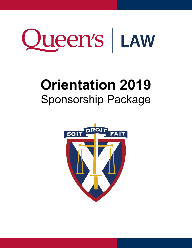

# **Orientation 2019**  Sponsorship Package

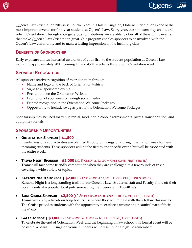Queen's Law Orientation 2019 is set to take place this fall in Kingston, Ontario. Orientation is one of the most important events for first-year students at Queen's Law. Every year, our sponsors play an integral role in Orientation. Through your generous contributions we are able to offer all of the exciting events that make Queen's Law Orientation great. Our program enables sponsors to be involved with the Queen's Law community and to make a lasting impression on the incoming class.

### **BENEFITS OF SPONSORSHIP**

Early-exposure allows increased awareness of your firm to the student population at Queen's Law including approximately 200 incoming 1L and 45 2L students throughout Orientation week.

#### **SPONSOR RECOGNITION**

All sponsors receive recognition of their donation through:

- ∗ Name and logo on the back of Orientation t-shirts
- ∗ Signage at sponsored events
- ∗ Recognition on the Orientation Website
- ∗ Promotion of sponsorship through social media
- ∗ Printed recognition in the Orientation Welcome Packages
- ∗ Opportunity to include swag as part of the Orientation Welcome Packages

Sponsorship may be used for venue rental, food, non-alcoholic refreshments, prizes, transportation, and equipment rentals.

## **SPONSORSHIP OPPORTUNITIES**

• **ORIENTATION SPONSOR | \$1,500**

Events, sessions and activities are planned throughout Kingston during Orientation week for new incoming students. These sponsors will not be tied to one specific event, but will be associated with the entire week.

- **TRIVIA NIGHT SPONSOR | \$2,000** (X1 SPONSOR at \$2,000 FIRST COME, FIRST SERVED) Teams will face some friendly competition when they are challenged to a few rounds of trivia covering a wide variety of topics.
- **KARAOKE NIGHT SPONSOR | \$2,000** (X1 SPONSOR at \$2,000 FIRST COME, FIRST SERVED) Karaoke Night is a longstanding tradition for Queen's Law! Students, staff and Faculty show off their vocal talents at a popular local pub, serenading their peers with Top 40 hits.
- **BOAT CRUISE SPONSOR | \$2,500** (X2 SPONSORS at \$2,500 each FIRST COME, FIRST SERVED) Teams will enjoy a two-hour long boat cruise where they will mingle with their fellow classmates. The Cruise provides students with the opportunity to explore a unique and beautiful part of their (new) city.
- **GALA SPONSOR | \$3,000** (X3 SPONSORS at \$3,000 each FIRST COME, FIRST SERVED) To celebrate the end of Orientation Week and the beginning of law school, this formal event will be hosted at a beautiful Kingston venue. Students will dress up for a night to remember!